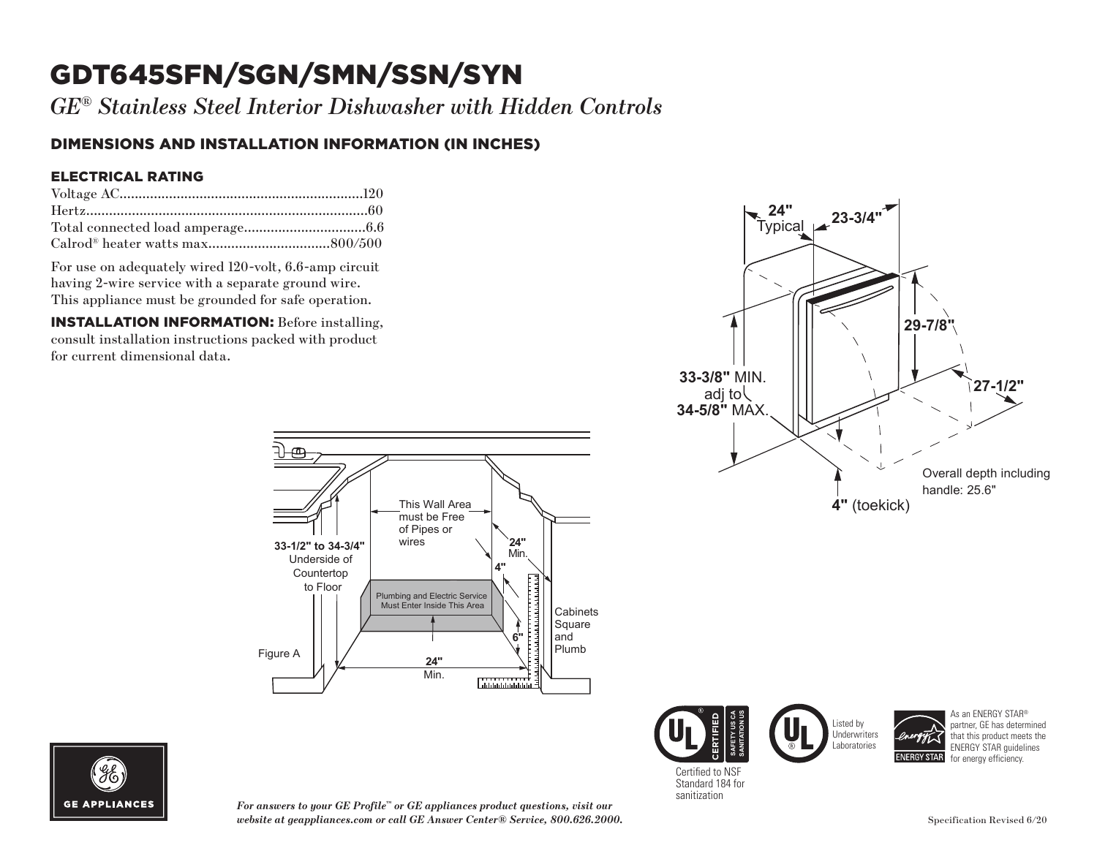# GDT645SFN/SGN/SMN/SSN/SYN

*GE® Stainless Steel Interior Dishwasher with Hidden Controls*

### DIMENSIONS AND INSTALLATION INFORMATION (IN INCHES)

#### ELECTRICAL RATING

For use on adequately wired 120-volt, 6.6-amp circuit having 2-wire service with a separate ground wire. This appliance must be grounded for safe operation.

INSTALLATION INFORMATION: Before installing, consult installation instructions packed with product for current dimensional data.











As an ENERGY STAR® partner, GE has determined that this product meets the ENERGY STAR guidelines



*For answers to your GE Profile™ or GE appliances product questions, visit our website at geappliances.com or call GE Answer Center® Service, 800.626.2000.*